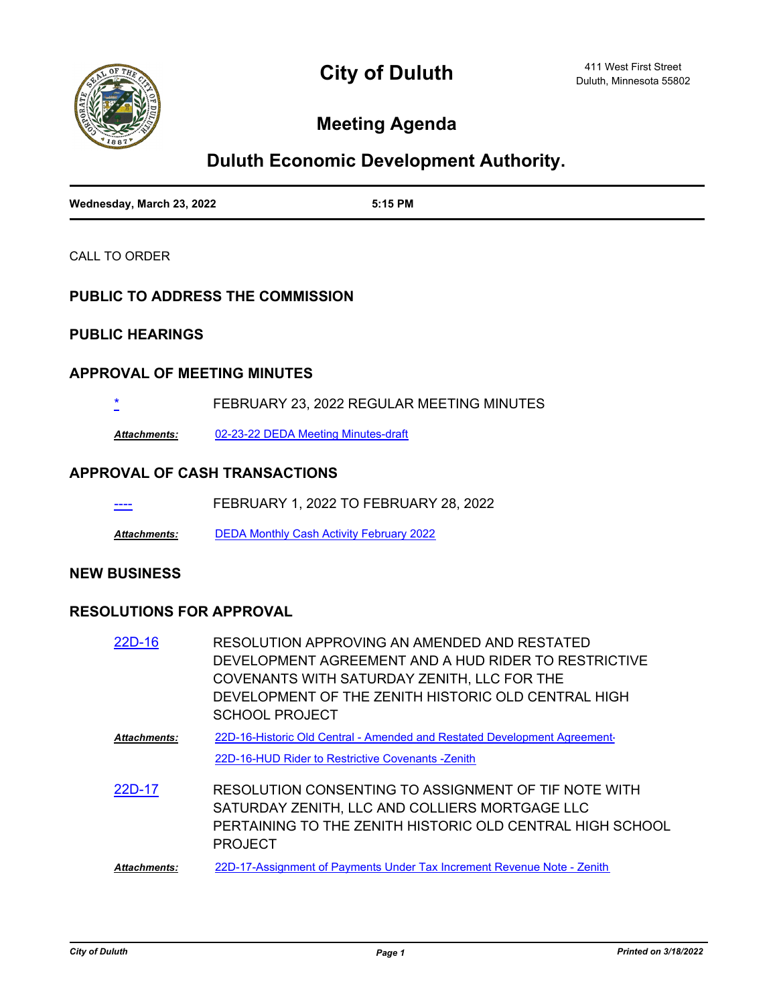

## **Meeting Agenda**

# **Duluth Economic Development Authority.**

| Wednesday, March 23, 2022 | 5:15 PM |
|---------------------------|---------|

CALL TO ORDER

#### **PUBLIC TO ADDRESS THE COMMISSION**

### **PUBLIC HEARINGS**

#### **APPROVAL OF MEETING MINUTES**

[\\*](http://duluth-mn.legistar.com/gateway.aspx?m=l&id=/matter.aspx?key=8011) FEBRUARY 23, 2022 REGULAR MEETING MINUTES

*Attachments:* [02-23-22 DEDA Meeting Minutes-draft](http://duluth-mn.legistar.com/gateway.aspx?M=F&ID=49f9e9fa-bce5-4d27-a79b-01864f4049d4.pdf)

#### **APPROVAL OF CASH TRANSACTIONS**

--- FEBRUARY 1, 2022 TO FEBRUARY 28, 2022

*Attachments:* [DEDA Monthly Cash Activity February 2022](http://duluth-mn.legistar.com/gateway.aspx?M=F&ID=ff4abf7a-d89b-412c-90f5-8b183161b7e9.pdf)

#### **NEW BUSINESS**

#### **RESOLUTIONS FOR APPROVAL**

| 22D-16       | RESOLUTION APPROVING AN AMENDED AND RESTATED<br>DEVELOPMENT AGREEMENT AND A HUD RIDER TO RESTRICTIVE<br>COVENANTS WITH SATURDAY ZENITH, LLC FOR THE<br>DEVELOPMENT OF THE ZENITH HISTORIC OLD CENTRAL HIGH<br>SCHOOL PROJECT |
|--------------|------------------------------------------------------------------------------------------------------------------------------------------------------------------------------------------------------------------------------|
| Attachments: | 22D-16-Historic Old Central - Amended and Restated Development Agreement-<br>22D-16-HUD Rider to Restrictive Covenants -Zenith                                                                                               |
| 22D-17       | RESOLUTION CONSENTING TO ASSIGNMENT OF TIF NOTE WITH<br>SATURDAY ZENITH, LLC AND COLLIERS MORTGAGE LLC<br>PERTAINING TO THE ZENITH HISTORIC OLD CENTRAL HIGH SCHOOL<br><b>PROJECT</b>                                        |
| Attachments: | 22D-17-Assignment of Payments Under Tax Increment Revenue Note - Zenith                                                                                                                                                      |